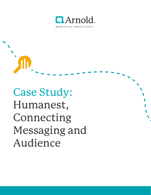

Case Study: Humanest, Connecting Messaging and Audience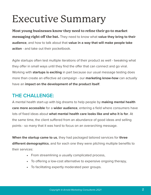# Executive Summary

**Most young businesses know they need to refine their go-to market messaging right off the bat.** They need to know what **value they bring to their audience**, and how to talk about that **value in a way that will make people take action** - and take out their pocketbook.

Agile startups often test multiple iterations of their product as well - tweaking what they offer in small ways until they find the offer that can connect and go viral. Working with **startups is exciting** in part because our usual message testing does more than create an effective ad campaign - our **marketing know-how** can actually have an **impact on the development of the product itself**.

## **THE CHALLENGE:**

A mental health start-up with big dreams to help people by **making mental health care more accessible** for a **wider audience**, entering a field where consumers have lots of fixed ideas about **what mental health care looks like and who it is for**. At the same time, the client suffered from an abundance of good ideas and selling points - so many that it was hard to focus on an overarching message.

**When the startup came to us**, they had packaged tailored services for **three different demographics**, and for each one they were pitching multiple benefits to their services:

- From streamlining a usually complicated process,
- To offering a low-cost alternative to expensive ongoing therapy,
- To facilitating expertly moderated peer groups.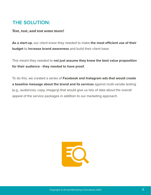#### **THE SOLUTION:**

#### **Test, test, and test some more!**

**As a start-up**, our client knew they needed to make **the most efficient use of their budget** to **increase brand awareness** and build their client base.

This meant they needed to **not just assume they knew the best value proposition for their audience - they needed to have proof.**

To do this, we created a series of **Facebook and Instagram ads that would create a baseline message about the brand and its services** against multi-variate testing (e.g., audiences, copy, imagery) that would give us lots of data about the overall appeal of the service packages in addition to our marketing approach.

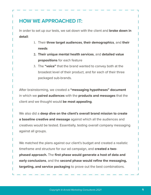## **HOW WE APPROACHED IT:**

In order to set up our tests, we sat down with the client and **broke down in detail**:

- 1. Their **three target audiences**, **their demographics**, and **their needs**
- **2. Their unique mental health services**, and **detailed value propositions** for each feature
- 3. The **"voice"** that the brand wanted to convey both at the broadest level of their product, and for each of their three packaged sub-brands.

After brainstorming, we created a **"messaging hypotheses" document**  in which we **paired audiences** with the **products and messages** that the client and we thought would **be most appealing**.

We also did a **deep dive on the client's overall brand mission to create a baseline creative and message** against which all the audiences and creatives would be tested. Essentially, testing overall company messaging against all groups.

We matched the plans against our client's budget and created a realistic timeframe and structure for our ad campaign, and **created a twophased approach.** The **first phase would generate a host of data and early conclusions**, and the **second phase would refine the messaging, targeting, and service packaging** to prove out the best combinations.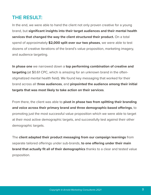#### **THE RESULT:**

In the end, we were able to hand the client not only proven creative for a young brand, but **significant insights into their target audiences and their mental health services that changed the way the client structured their product.** On a total spend of approximately **\$2,000 split over our two phases**, we were able to test dozens of creative iterations of the brand's value proposition, marketing imagery, and audience targeting.

**In phase one** we narrowed down a **top performing combination of creative and targeting** (at \$0.61 CPC, which is amazing for an unknown brand in the oftenstigmatized mental health field). We found key messaging that worked for their brand across all t**hree audiences**, and **pinpointed the audience among their initial targets that was most likely to take action on their services**.

From there, the client was able to **pivot in phase two from splitting their branding and voice across their primary brand and three demographic-based offerings**, to promoting just the most successful value proposition which we were able to target at their most active demographic targets, and successfully test against their other demographic targets.

The **client adapted their product messaging from our campaign learnings** from separate tailored offerings under sub-brands, **to one offering under their main brand that actually fit all of their demographics** thanks to a clear and tested value proposition.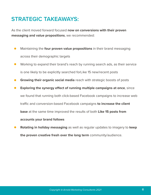## **STRATEGIC TAKEAWAYS:**

As the client moved forward focused **now on conversions with their proven messaging and value propositions**, we recommended:

- Maintaining the **four proven value propositions** in their brand messaging  $\bullet$ across their demographic targets
- Working to expand their brand's reach by running search ads, as their service is one likely to be explicitly searched forLike 15 new/recent posts
- **Growing their organic social media** reach with strategic boosts of posts  $\bullet$
- **Exploring the synergy effect of running multiple campaigns at once**, since we found that running both click-based Facebook campaigns to increase web traffic and conversion-based Facebook campaigns **to increase the client base** at the same time improved the results of both **Like 15 posts from accounts your brand follows**
- **Rotating in holiday messaging** as well as regular updates to imagery to **keep**   $\bullet$ **the proven creative fresh over the long term** community/audience.